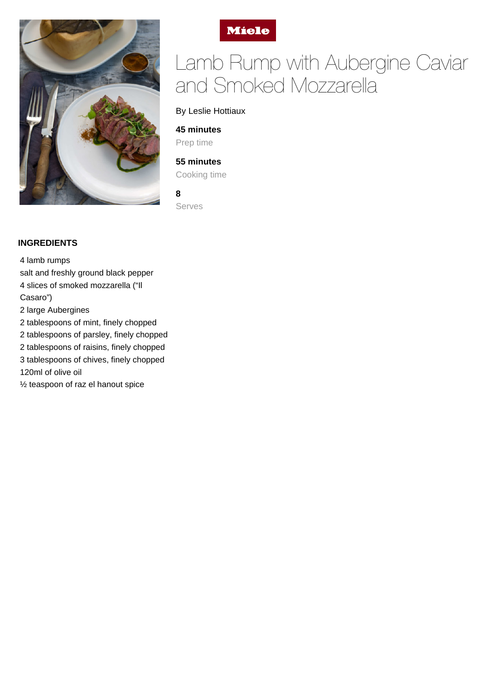



# Lamb Rump with Aubergine Caviar and Smoked Mozzarella

## By Leslie Hottiaux

# **45 minutes**

Prep time

## **55 minutes**

Cooking time

### **8**

Serves

# **INGREDIENTS**

4 lamb rumps salt and freshly ground black pepper 4 slices of smoked mozzarella ("Il Casaro") 2 large Aubergines 2 tablespoons of mint, finely chopped 2 tablespoons of parsley, finely chopped 2 tablespoons of raisins, finely chopped 3 tablespoons of chives, finely chopped 120ml of olive oil ½ teaspoon of raz el hanout spice